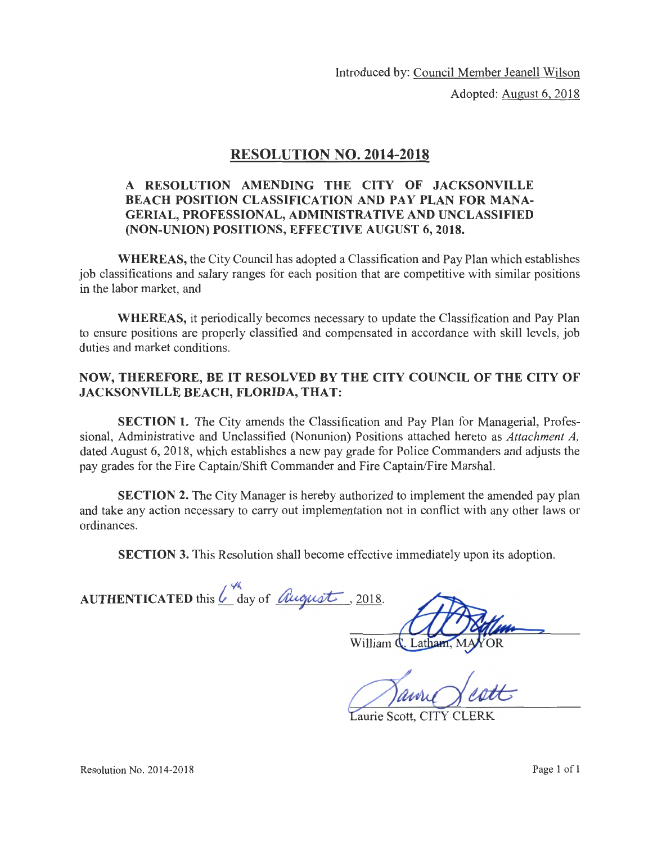Introduced by: Council Member Jeanell Wilson

Adopted: August 6, 2018

## RESOLUTION NO. 2014-2018

## A RESOLUTION AMENDING THE CITY OF JACKSONVILLE BEACH POSITION CLASSIFICATION AND PAY PLAN FOR MANA-GERIAL, PROFESSIONAL, ADMINISTRATIVE AND UNCLASSIFIED (NON-UNION) POSITIONS, EFFECTIVE AUGUST 6, 2018.

WHEREAS, the City Council has adopted a Classification and Pay Plan which establishes job classifications and salary ranges for each position that are competitive with similar positions in the labor market, and

WHEREAS, it periodically becomes necessary to update the Classification and Pay Plan to ensure positions are properly classified and compensated in accordance with skill levels, job duties and market conditions.

#### NOW, THEREFORE, BE IT RESOLVED BY THE CITY COUNCIL OF THE CITY OF JACKSONVILLE BEACH, FLORIDA, THAT:

SECTION 1. The City amends the Classification and Pay Plan for Managerial, Professional, Administrative and Unclassified (Nonunion) Positions attached hereto as *Attachment A,*  dated August 6, 2018, which establishes a new pay grade for Police Commanders and adjusts the pay grades for the Fire Captain/Shift Commander and Fire Captain/Fire Marshal.

SECTION 2. The City Manager is hereby authorized to implement the amended pay plan and take any action necessary to carry out implementation not in conflict with any other laws or ordinances.

SECTION 3. This Resolution shall become effective immediately upon its adoption.

AUTHENTICATED this  $\angle^{\mathcal{H}}$  day of *August*, 2018.

Lathan

William  $\mathbf{\dot{Q}}$ 

Laurie Scott, CITY CLERK

Resolution No. 2014-2018 Page 1 of 1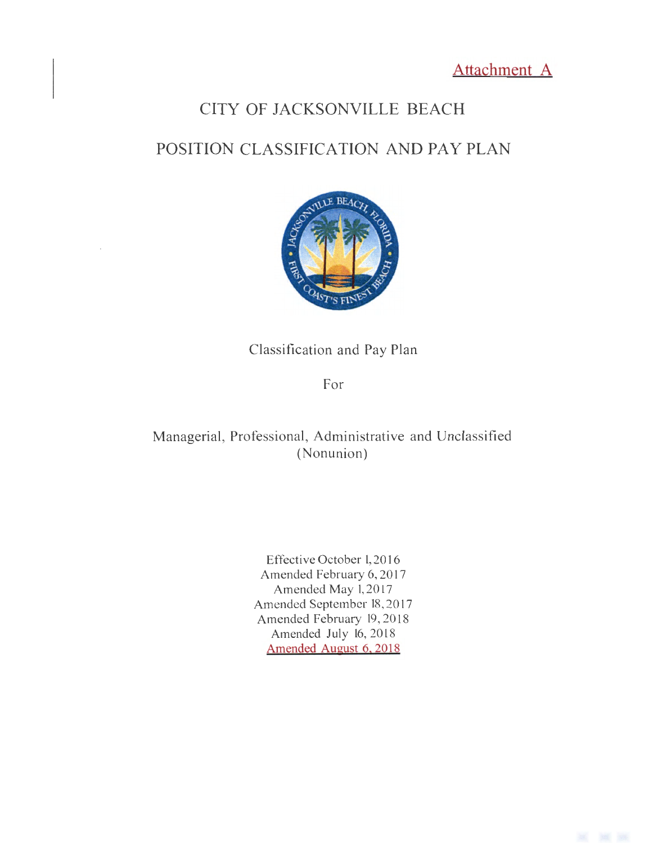Attachment A

# CITY OF JACKSONVILLE BEACH

## POSITION CLASSIFICATION AND PAY PLAN



Classification and Pay Plan

For

Managerial, Professional, Administrative and Unclassified (Nonunion)

> Effective October 1,20 16 Amended February 6, 2017 Amended May 1, 2017 Amended September 18, 2017 Amended February 19, 2018 Amended July 16, 2018 Amended August 6. 2018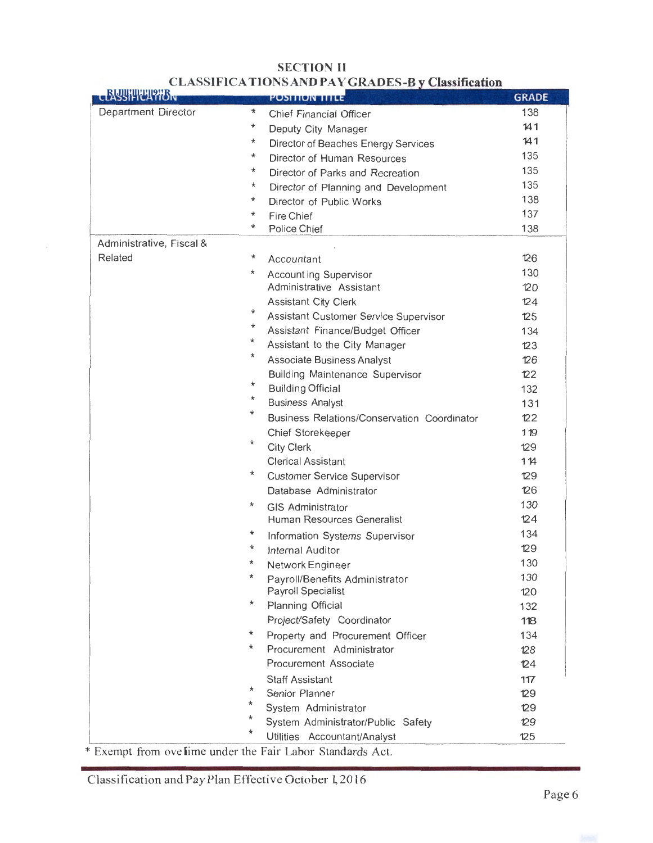| <b>CLASSIFITELIPHEN</b>                                    |            | <b>PUSITION TITLE</b>                       | <b>GRADE</b> |
|------------------------------------------------------------|------------|---------------------------------------------|--------------|
| Department Director                                        | ₩          | Chief Financial Officer                     | 138          |
|                                                            | $^\star$   | Deputy City Manager                         | 141          |
|                                                            | $^{\star}$ | Director of Beaches Energy Services         | 141          |
|                                                            | *          | Director of Human Resources                 | 135          |
|                                                            | $^{\star}$ | Director of Parks and Recreation            | 135          |
|                                                            | $^\star$   | Director of Planning and Development        | 135          |
|                                                            | $\star$    | Director of Public Works                    | 138          |
|                                                            | $^\star$   | Fire Chief                                  | 137          |
|                                                            | $\star$    | Police Chief                                | 138          |
| Administrative, Fiscal &                                   |            |                                             |              |
| Related                                                    | *          | Accountant                                  | 126          |
|                                                            | $^\star$   | <b>Account ing Supervisor</b>               | 130          |
|                                                            |            | Administrative Assistant                    | 120          |
|                                                            |            | <b>Assistant City Clerk</b>                 | 124          |
|                                                            | $^\star$   | Assistant Customer Service Supervisor       | 125          |
|                                                            | *          | Assistant Finance/Budget Officer            | 134          |
|                                                            | $^\star$   | Assistant to the City Manager               | 123          |
|                                                            | *          | Associate Business Analyst                  | 126          |
|                                                            |            | <b>Building Maintenance Supervisor</b>      | 122          |
|                                                            | *          | <b>Building Official</b>                    | 132          |
|                                                            | *          | <b>Business Analyst</b>                     | 131          |
|                                                            | $^\star$   | Business Relations/Conservation Coordinator | 122          |
|                                                            |            | Chief Storekeeper                           | 119          |
|                                                            | $^{\star}$ | <b>City Clerk</b>                           | 129          |
|                                                            |            | <b>Clerical Assistant</b>                   | 114          |
|                                                            | $\star$    | <b>Customer Service Supervisor</b>          | 129          |
|                                                            |            | Database Administrator                      | 126          |
|                                                            | $\star$    | <b>GIS Administrator</b>                    | 130          |
|                                                            |            | Human Resources Generalist                  | 124          |
|                                                            | *          | Information Systems Supervisor              | 134          |
|                                                            | $^\star$   | Internal Auditor                            | 129          |
|                                                            | *          | Network Engineer                            | 130          |
|                                                            | *          | Payroll/Benefits Administrator              | 130          |
|                                                            |            | Payroll Specialist                          | 120          |
|                                                            | *          | Planning Official                           | 132          |
|                                                            |            | Project/Safety Coordinator                  | 118          |
|                                                            | *          | Property and Procurement Officer            | 134          |
|                                                            | *          | Procurement Administrator                   | 128          |
|                                                            |            | Procurement Associate                       | 124          |
|                                                            |            | <b>Staff Assistant</b>                      | 117          |
|                                                            | $^\star$   | Senior Planner                              | 129          |
|                                                            | *          | System Administrator                        | 129          |
|                                                            | *.         | System Administrator/Public Safety          | 129          |
|                                                            | *          | Utilities Accountant/Analyst                | 125          |
| * Exempt from ove lime under the Fair Labor Standards Act. |            |                                             |              |

## **SECTION II CLASSIFICATIONS AND PAY GRADES-B**

Classification and Pay Plan Effective October 1, 2016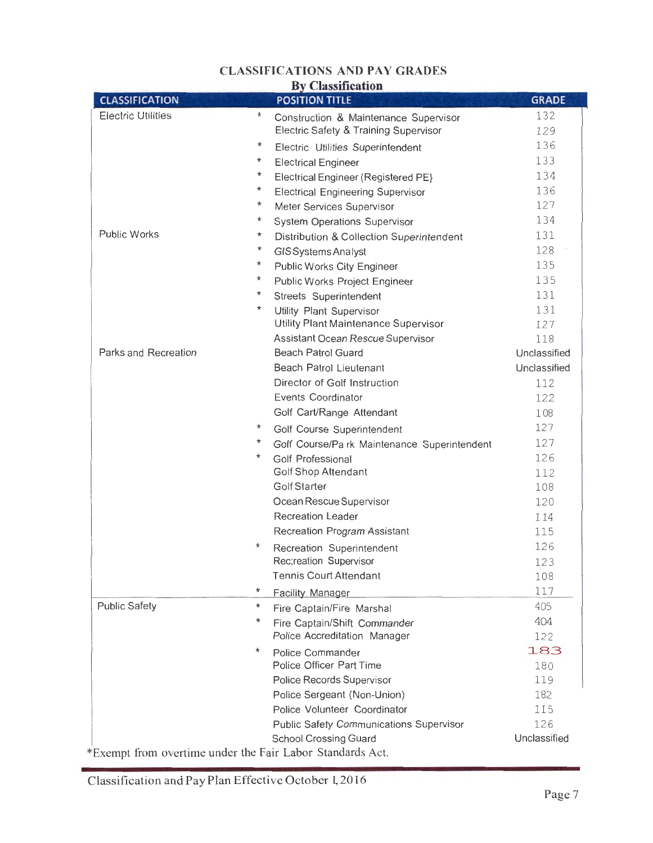## **CLASSIFICATIONS AND PAY GRADES**

| <b>By Classification</b>  |                                                           |              |  |
|---------------------------|-----------------------------------------------------------|--------------|--|
| <b>CLASSIFICATION</b>     | <b>POSITION TITLE</b>                                     | <b>GRADE</b> |  |
| <b>Electric Utilities</b> | ÷<br>Construction & Maintenance Supervisor                | 132          |  |
|                           | Electric Safety & Training Supervisor                     | 129          |  |
|                           | *<br>Electric Utilities Superintendent                    | 136          |  |
|                           | *<br><b>Electrical Engineer</b>                           | 133          |  |
|                           | *<br>Electrical Engineer (Registered PE}                  | 134          |  |
|                           | *<br><b>Electrical Engineering Supervisor</b>             | 136          |  |
|                           | $^\star$<br>Meter Services Supervisor                     | 127          |  |
|                           | *<br><b>System Operations Supervisor</b>                  | 134          |  |
| <b>Public Works</b>       | *<br>Distribution & Collection Superintendent             | 131          |  |
|                           | $^\star$<br>GIS Systems Analyst                           | 128          |  |
|                           | $^\star$<br>Public Works City Engineer                    | 135          |  |
|                           | *<br>Public Works Project Engineer                        | 135          |  |
|                           | *<br>Streets Superintendent                               | 131          |  |
|                           | *<br>Utility Plant Supervisor                             | 131          |  |
|                           | Utility Plant Maintenance Supervisor                      | 127          |  |
|                           | Assistant Ocean Rescue Supervisor                         | 118          |  |
| Parks and Recreation      | <b>Beach Patrol Guard</b>                                 | Unclassified |  |
|                           | <b>Beach Patrol Lieutenant</b>                            | Unclassified |  |
|                           | Director of Golf Instruction                              | 112          |  |
|                           | <b>Events Coordinator</b>                                 | 122          |  |
|                           | Golf Cart/Range Attendant                                 | 108          |  |
|                           | $^\star$<br>Golf Course Superintendent                    | 127          |  |
|                           | $^\star$<br>Golf Course/Pa rk Maintenance Superintendent  | 127          |  |
|                           | *<br>Golf Professional                                    | 126          |  |
|                           | <b>Golf Shop Attendant</b>                                | 112          |  |
|                           | Golf Starter                                              | 108          |  |
|                           | Ocean Rescue Supervisor                                   | 120          |  |
|                           | <b>Recreation Leader</b>                                  | 114          |  |
|                           | <b>Recreation Program Assistant</b>                       | 115          |  |
|                           | $^\star$<br>Recreation Superintendent                     | 126          |  |
|                           | Rec;reation Supervisor                                    | 123          |  |
|                           | <b>Tennis Court Attendant</b>                             | 108          |  |
|                           | *<br><b>Facility Manager</b>                              | 117          |  |
| <b>Public Safety</b>      | $^\star$<br>Fire Captain/Fire Marshal                     | 405          |  |
|                           | $^\star$<br>Fire Captain/Shift Commander                  | 404          |  |
|                           | Police Accreditation Manager                              | 122          |  |
|                           | $^\star$<br>Police Commander                              | 183          |  |
|                           | Police Officer Part Time                                  | 180          |  |
|                           | Police Records Supervisor                                 | 119          |  |
|                           | Police Sergeant (Non-Union)                               | 182          |  |
|                           | Police Volunteer Coordinator                              | 115          |  |
|                           | <b>Public Safety Communications Supervisor</b>            | 126          |  |
|                           | <b>School Crossing Guard</b>                              | Unclassified |  |
|                           | *Exempt from overtime under the Fair Labor Standards Act. |              |  |

Classification and Pay Plan Effective October 1, 2016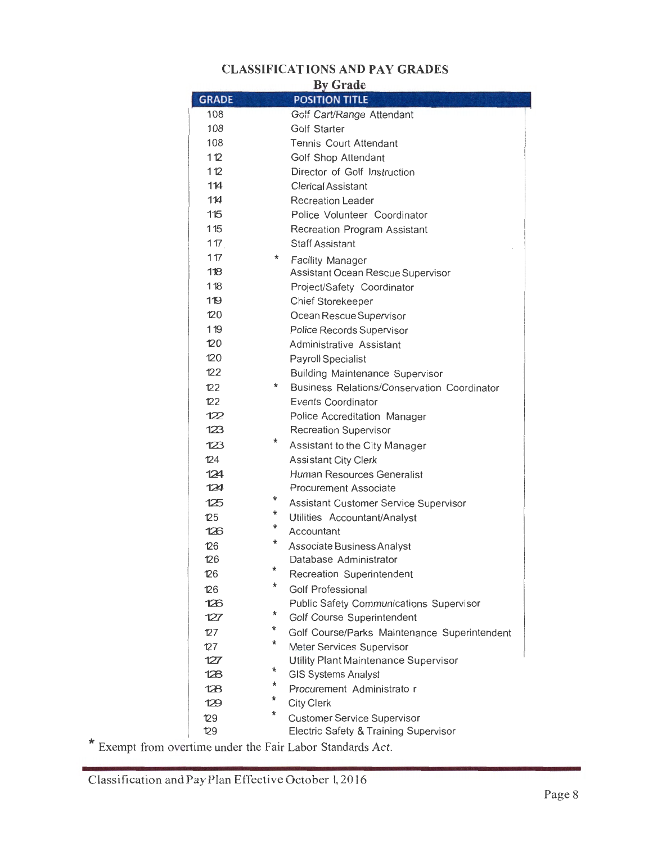## **CLASSIFICATlONS AND PAY GRADES**

| <b>v</b> Grade |  |
|----------------|--|
|----------------|--|

| <b>GRADE</b>   | <i><u>Ly Giund</u></i><br><b>POSITION TITLE</b>   |
|----------------|---------------------------------------------------|
| 108            | Golf Cart/Range Attendant                         |
| 108            | Golf Starter                                      |
| 108            | <b>Tennis Court Attendant</b>                     |
| 112            | Golf Shop Attendant                               |
| 112            | Director of Golf Instruction                      |
| 114            | <b>Clerical Assistant</b>                         |
| 114            | Recreation Leader                                 |
| 115            | Police Volunteer Coordinator                      |
| 115            | Recreation Program Assistant                      |
| 117            | <b>Staff Assistant</b>                            |
| 117            | *<br><b>Facility Manager</b>                      |
| 118            | Assistant Ocean Rescue Supervisor                 |
| 118            | Project/Safety Coordinator                        |
| 119            | Chief Storekeeper                                 |
| 120            | Ocean Rescue Supervisor                           |
| 119            | Police Records Supervisor                         |
| 120            | Administrative Assistant                          |
| 120            | Payroll Specialist                                |
| 122            | <b>Building Maintenance Supervisor</b>            |
| 122            | *<br>Business Relations/Conservation Coordinator  |
| 122            | Events Coordinator                                |
| 122            |                                                   |
| 123            | Police Accreditation Manager                      |
|                | <b>Recreation Supervisor</b><br>*                 |
| 123            | Assistant to the City Manager                     |
| 124            | <b>Assistant City Clerk</b>                       |
| 124            | Human Resources Generalist                        |
| 124            | Procurement Associate<br>*                        |
| 125            | Assistant Customer Service Supervisor<br>*        |
| $\mathbb{Z}^5$ | Utilities Accountant/Analyst<br>*                 |
| 126            | Accountant                                        |
| 126            | *<br>Associate Business Analyst                   |
| 126            | Database Administrator<br>$\star$                 |
| 126            | Recreation Superintendent                         |
| 126            | *<br><b>Golf Professional</b>                     |
| 126            | <b>Public Safety Communications Supervisor</b>    |
| 127            | $^\star$<br>Golf Course Superintendent            |
| 127            | *<br>Golf Course/Parks Maintenance Superintendent |
| 127            | *<br>Meter Services Supervisor                    |
| 127            | Utility Plant Maintenance Supervisor              |
| 128            | *<br><b>GIS Systems Analyst</b>                   |
| 128            | *<br>Procurement Administrato r                   |
| 129            | *<br><b>City Clerk</b>                            |
| 129            | $^\star$<br><b>Customer Service Supervisor</b>    |
| 129            | Electric Safety & Training Supervisor             |

\* Exempt from overtime under the Fair Labor Standards Act.

Classification and Pay Plan Effective October 1, 2016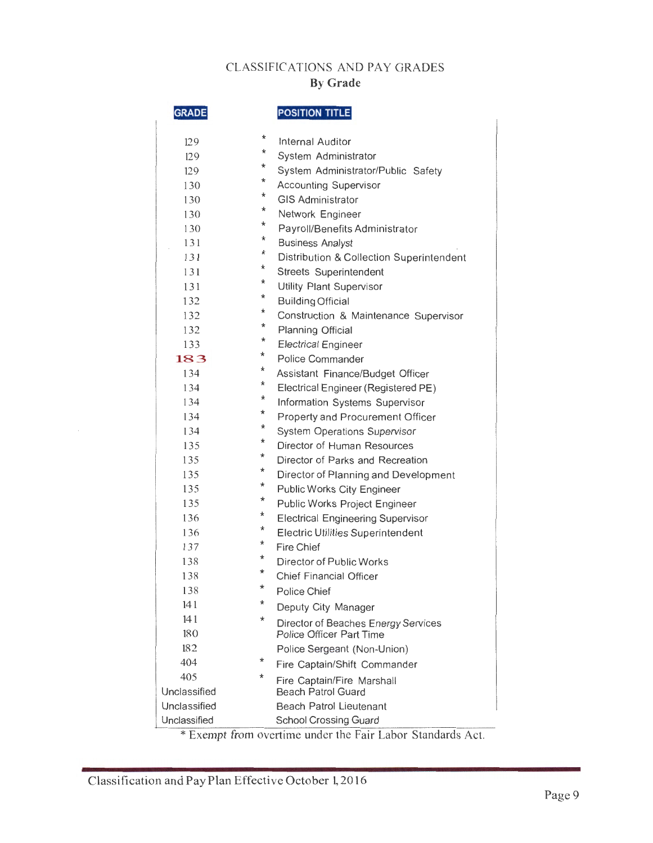## CLASSIFICATIONS AND PAY GRADES **By Grade**

| <b>GRADE</b> |          | <b>POSITION TITLE</b>                    |
|--------------|----------|------------------------------------------|
| 129          | *        | Internal Auditor                         |
| 129          | $^\star$ | System Administrator                     |
| 129          | $^\star$ | System Administrator/Public Safety       |
| 130          | $^\star$ | <b>Accounting Supervisor</b>             |
| 130          | *        | <b>GIS Administrator</b>                 |
| 130          | $^\star$ | Network Engineer                         |
| 130          | *        | Payroll/Benefits Administrator           |
| 131          | *        | <b>Business Analyst</b>                  |
| 131          | *        | Distribution & Collection Superintendent |
| 131          | *        | Streets Superintendent                   |
| 131          | *        | Utility Plant Supervisor                 |
| 132          | *        | <b>Building Official</b>                 |
| 132          | *        | Construction & Maintenance Supervisor    |
| 132          | $^\star$ | Planning Official                        |
| 133          | $^\star$ | <b>Electrical Engineer</b>               |
| 183          | $^\star$ | Police Commander                         |
| 134          | *        | Assistant Finance/Budget Officer         |
| 134          | *        | Electrical Engineer (Registered PE)      |
| 134          | $^\star$ | Information Systems Supervisor           |
| 134          | ★        | Property and Procurement Officer         |
| 134          | *        | <b>System Operations Supervisor</b>      |
| 135          | *        | Director of Human Resources              |
| 135          | *        | Director of Parks and Recreation         |
| 135          | $^\star$ | Director of Planning and Development     |
| 135          | $^\star$ | Public Works City Engineer               |
| 135          | ★        | Public Works Project Engineer            |
| 136          | $^\star$ | <b>Electrical Engineering Supervisor</b> |
| 136          | *        | <b>Electric Utilities Superintendent</b> |
| 137          | $^\star$ | <b>Fire Chief</b>                        |
| 138          | $^\star$ | <b>Director of Public Works</b>          |
| 138          | ★        | <b>Chief Financial Officer</b>           |
| 138          | $^\star$ | <b>Police Chief</b>                      |
| 141          | *        | Deputy City Manager                      |
| 141          | $^\star$ | Director of Beaches Energy Services      |
| 180          |          | <b>Police Officer Part Time</b>          |
| 182          |          | Police Sergeant (Non-Union)              |
| 404          | $^\star$ | Fire Captain/Shift Commander             |
| 405          | $^\star$ | Fire Captain/Fire Marshall               |
| Unclassified |          | <b>Beach Patrol Guard</b>                |
| Unclassified |          | <b>Beach Patrol Lieutenant</b>           |
| Unclassified |          | <b>School Crossing Guard</b>             |

\* Exempt from overtime under the Fair Labor Standards Act.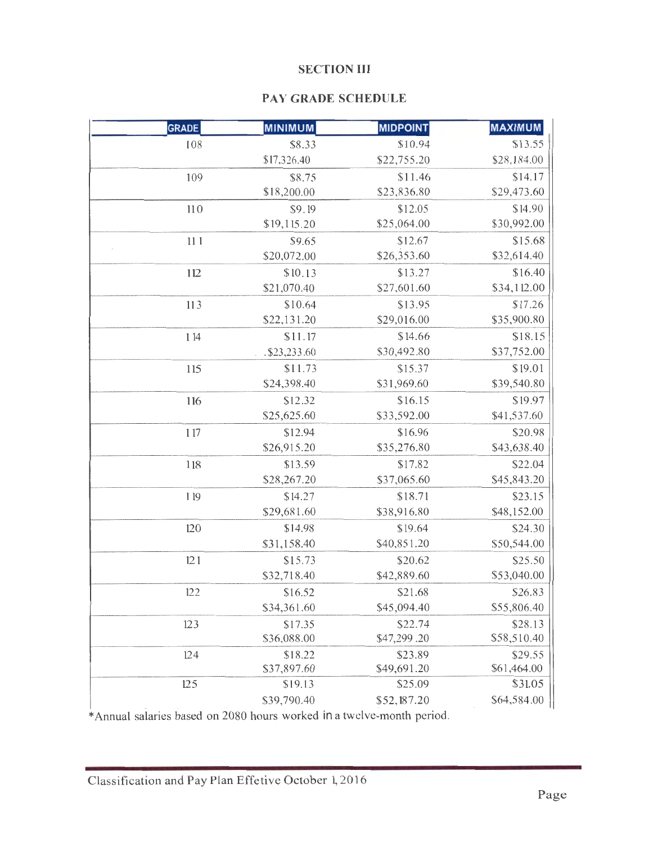#### **SECTION III**

## **PAY GRADE SCHEDULE**

| <b>GRADE</b> | <b>MINIMUM</b> | <b>MIDPOINT</b> | <b>MAXIMUM</b> |
|--------------|----------------|-----------------|----------------|
| 108          | \$8.33         | \$10.94         | \$13.55        |
|              | \$17,326.40    | \$22,755.20     | \$28,184.00    |
| 109          | \$8.75         | \$11.46         | \$14.17        |
|              | \$18,200.00    | \$23,836.80     | \$29,473.60    |
| 110          | \$9.19         | \$12.05         | \$14.90        |
|              | \$19,115.20    | \$25,064.00     | \$30,992.00    |
| 111          | \$9.65         | \$12.67         | \$15.68        |
|              | \$20,072.00    | \$26,353.60     | \$32,614.40    |
| 112          | \$10.13        | \$13.27         | \$16.40        |
|              | \$21,070.40    | \$27,601.60     | \$34,112.00    |
| 113          | \$10.64        | \$13.95         | \$17.26        |
|              | \$22,131.20    | \$29,016.00     | \$35,900.80    |
| 1 14         | \$11.17        | \$14.66         | \$18.15        |
|              | .\$23,233.60   | \$30,492.80     | \$37,752.00    |
| 115          | \$11.73        | \$15.37         | \$19.01        |
|              | \$24,398.40    | \$31,969.60     | \$39,540.80    |
| 116          | \$12.32        | \$16.15         | \$19.97        |
|              | \$25,625.60    | \$33,592.00     | \$41,537.60    |
| 117          | \$12.94        | \$16.96         | \$20.98        |
|              | \$26,915.20    | \$35,276.80     | \$43,638.40    |
| 118          | \$13.59        | \$17.82         | \$22.04        |
|              | \$28,267.20    | \$37,065.60     | \$45,843.20    |
| 119          | \$14.27        | \$18.71         | \$23.15        |
|              | \$29,681.60    | \$38,916.80     | \$48,152.00    |
| 120          | \$14.98        | \$19.64         | \$24.30        |
|              | \$31,158.40    | \$40,851.20     | \$50,544.00    |
| 121          | \$15.73        | \$20.62         | \$25.50        |
|              | \$32,718.40    | \$42,889.60     | \$53,040.00    |
| 122          | \$16.52        | \$21.68         | \$26.83        |
|              | \$34,361.60    | \$45,094.40     | \$55,806.40    |
| 123          | \$17.35        | \$22.74         | \$28.13        |
|              | \$36,088.00    | \$47,299.20     | \$58,510.40    |
| 124          | \$18.22        | \$23.89         | \$29.55        |
|              | \$37,897.60    | \$49,691.20     | \$61,464.00    |
| 125          | \$19.13        | \$25.09         | \$31.05        |
|              | \$39,790.40    | \$52,187.20     | \$64,584.00    |

\*Annual salaries based on 2080 hours worked in a twelve-month period.